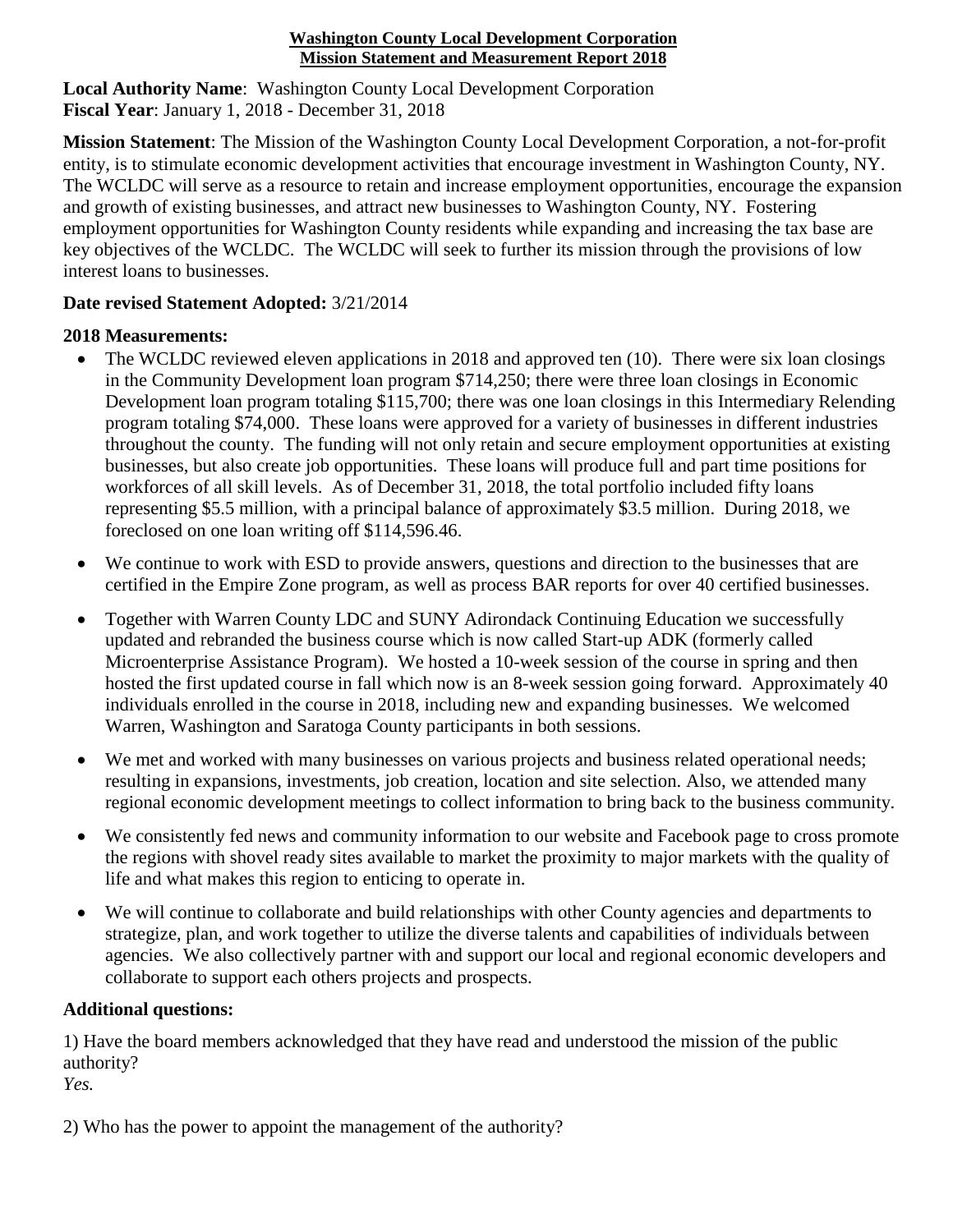## **Washington County Local Development Corporation Mission Statement and Measurement Report 2018**

**Local Authority Name**: Washington County Local Development Corporation **Fiscal Year**: January 1, 2018 - December 31, 2018

**Mission Statement**: The Mission of the Washington County Local Development Corporation, a not-for-profit entity, is to stimulate economic development activities that encourage investment in Washington County, NY. The WCLDC will serve as a resource to retain and increase employment opportunities, encourage the expansion and growth of existing businesses, and attract new businesses to Washington County, NY. Fostering employment opportunities for Washington County residents while expanding and increasing the tax base are key objectives of the WCLDC. The WCLDC will seek to further its mission through the provisions of low interest loans to businesses.

## **Date revised Statement Adopted:** 3/21/2014

## **2018 Measurements:**

- The WCLDC reviewed eleven applications in 2018 and approved ten (10). There were six loan closings in the Community Development loan program \$714,250; there were three loan closings in Economic Development loan program totaling \$115,700; there was one loan closings in this Intermediary Relending program totaling \$74,000. These loans were approved for a variety of businesses in different industries throughout the county. The funding will not only retain and secure employment opportunities at existing businesses, but also create job opportunities. These loans will produce full and part time positions for workforces of all skill levels. As of December 31, 2018, the total portfolio included fifty loans representing \$5.5 million, with a principal balance of approximately \$3.5 million. During 2018, we foreclosed on one loan writing off \$114,596.46.
- We continue to work with ESD to provide answers, questions and direction to the businesses that are certified in the Empire Zone program, as well as process BAR reports for over 40 certified businesses.
- Together with Warren County LDC and SUNY Adirondack Continuing Education we successfully updated and rebranded the business course which is now called Start-up ADK (formerly called Microenterprise Assistance Program). We hosted a 10-week session of the course in spring and then hosted the first updated course in fall which now is an 8-week session going forward. Approximately 40 individuals enrolled in the course in 2018, including new and expanding businesses. We welcomed Warren, Washington and Saratoga County participants in both sessions.
- We met and worked with many businesses on various projects and business related operational needs; resulting in expansions, investments, job creation, location and site selection. Also, we attended many regional economic development meetings to collect information to bring back to the business community.
- We consistently fed news and community information to our website and Facebook page to cross promote the regions with shovel ready sites available to market the proximity to major markets with the quality of life and what makes this region to enticing to operate in.
- We will continue to collaborate and build relationships with other County agencies and departments to strategize, plan, and work together to utilize the diverse talents and capabilities of individuals between agencies. We also collectively partner with and support our local and regional economic developers and collaborate to support each others projects and prospects.

## **Additional questions:**

1) Have the board members acknowledged that they have read and understood the mission of the public authority?

*Yes.*

2) Who has the power to appoint the management of the authority?